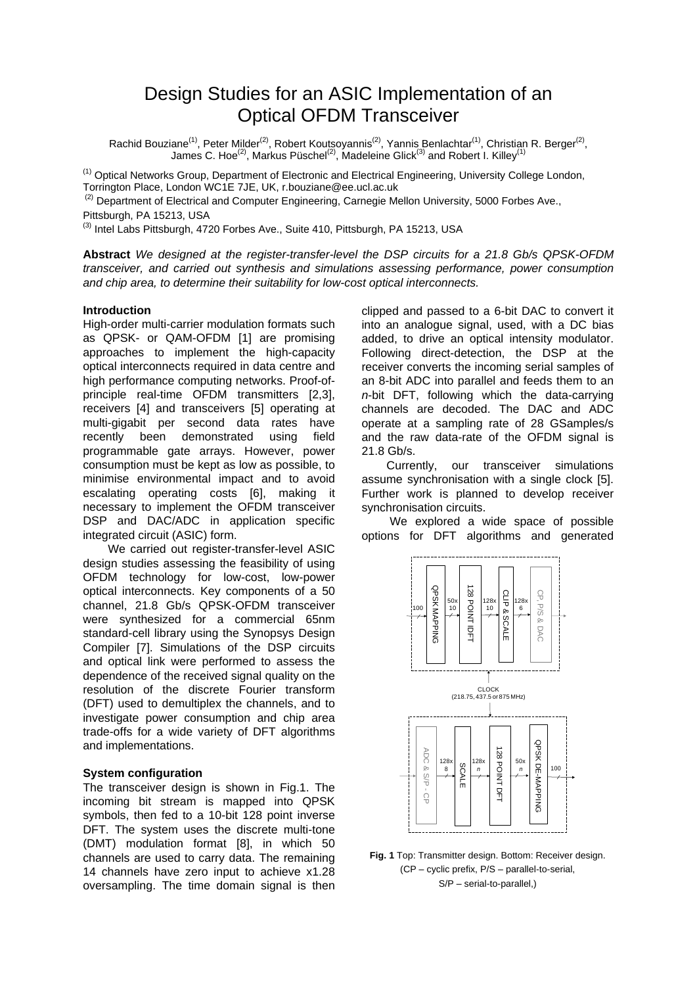# Design Studies for an ASIC Implementation of an Optical OFDM Transceiver

Rachid Bouziane<sup>(1)</sup>, Peter Milder<sup>(2)</sup>, Robert Koutsoyannis<sup>(2)</sup>, Yannis Benlachtar<sup>(1)</sup>, Christian R. Berger<sup>(2)</sup>, James C. Hoe<sup>(2)</sup>, Markus Püschel<sup>(2)</sup>, Madeleine Glick<sup>(3)</sup> and Robert I. Killey<sup>(1)</sup>

<sup>(1)</sup> Optical Networks Group, Department of Electronic and Electrical Engineering, University College London, Torrington Place, London WC1E 7JE, UK, r.bouziane@ee.ucl.ac.uk

 $(2)$  Department of Electrical and Computer Engineering, Carnegie Mellon University, 5000 Forbes Ave., Pittsburgh, PA 15213, USA

<sup>(3)</sup> Intel Labs Pittsburgh, 4720 Forbes Ave., Suite 410, Pittsburgh, PA 15213, USA

**Abstract** *We designed at the register-transfer-level the DSP circuits for a 21.8 Gb/s QPSK-OFDM transceiver, and carried out synthesis and simulations assessing performance, power consumption and chip area, to determine their suitability for low-cost optical interconnects.*

### **Introduction**

High-order multi-carrier modulation formats such as QPSK- or QAM-OFDM [1] are promising approaches to implement the high-capacity optical interconnects required in data centre and high performance computing networks. Proof-ofprinciple real-time OFDM transmitters [2,3], receivers [4] and transceivers [5] operating at multi-gigabit per second data rates have recently been demonstrated using field programmable gate arrays. However, power consumption must be kept as low as possible, to minimise environmental impact and to avoid escalating operating costs [6], making it necessary to implement the OFDM transceiver DSP and DAC/ADC in application specific integrated circuit (ASIC) form.

We carried out register-transfer-level ASIC design studies assessing the feasibility of using OFDM technology for low-cost, low-power optical interconnects. Key components of a 50 channel, 21.8 Gb/s QPSK-OFDM transceiver were synthesized for a commercial 65nm standard-cell library using the Synopsys Design Compiler [7]. Simulations of the DSP circuits and optical link were performed to assess the dependence of the received signal quality on the resolution of the discrete Fourier transform (DFT) used to demultiplex the channels, and to investigate power consumption and chip area trade-offs for a wide variety of DFT algorithms and implementations.

## **System configuration**

The transceiver design is shown in Fig.1. The incoming bit stream is mapped into QPSK symbols, then fed to a 10-bit 128 point inverse DFT. The system uses the discrete multi-tone (DMT) modulation format [8], in which 50 channels are used to carry data. The remaining 14 channels have zero input to achieve x1.28 oversampling. The time domain signal is then

clipped and passed to a 6-bit DAC to convert it into an analogue signal, used, with a DC bias added, to drive an optical intensity modulator. Following direct-detection, the DSP at the receiver converts the incoming serial samples of an 8-bit ADC into parallel and feeds them to an *n*-bit DFT, following which the data-carrying channels are decoded. The DAC and ADC operate at a sampling rate of 28 GSamples/s and the raw data-rate of the OFDM signal is 21.8 Gb/s.

Currently, our transceiver simulations assume synchronisation with a single clock [5]. Further work is planned to develop receiver synchronisation circuits.

We explored a wide space of possible options for DFT algorithms and generated



**Fig. 1** Top: Transmitter design. Bottom: Receiver design. (CP – cyclic prefix, P/S – parallel-to-serial, S/P – serial-to-parallel,)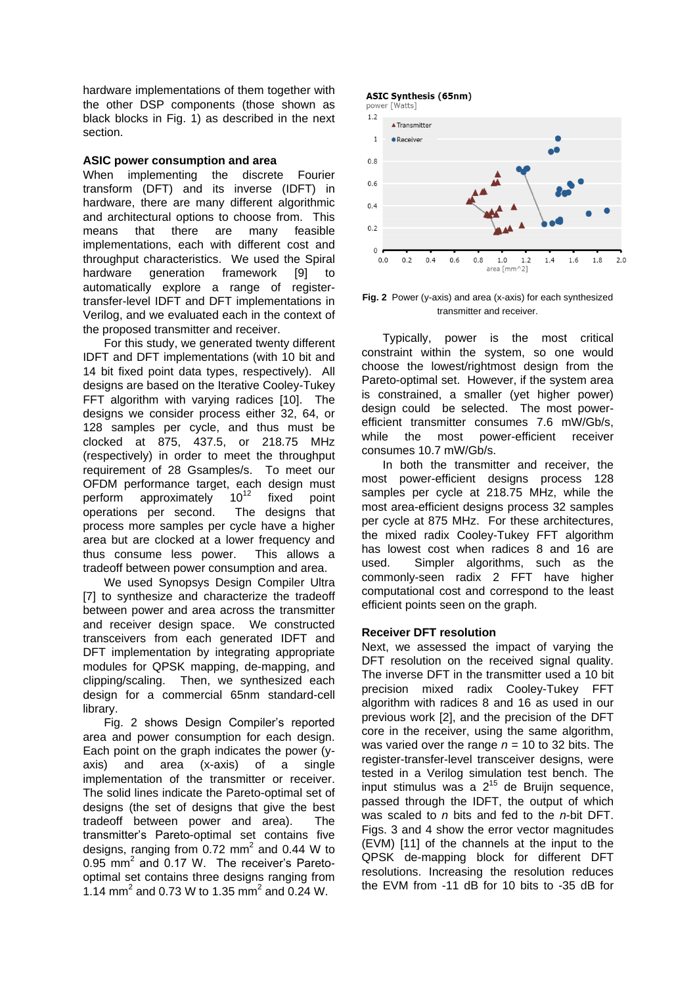hardware implementations of them together with the other DSP components (those shown as black blocks in Fig. 1) as described in the next section.

## **ASIC power consumption and area**

When implementing the discrete Fourier transform (DFT) and its inverse (IDFT) in hardware, there are many different algorithmic and architectural options to choose from. This means that there are many feasible implementations, each with different cost and throughput characteristics. We used the Spiral hardware generation framework [9] to automatically explore a range of registertransfer-level IDFT and DFT implementations in Verilog, and we evaluated each in the context of the proposed transmitter and receiver.

For this study, we generated twenty different IDFT and DFT implementations (with 10 bit and 14 bit fixed point data types, respectively). All designs are based on the Iterative Cooley-Tukey FFT algorithm with varying radices [10]. The designs we consider process either 32, 64, or 128 samples per cycle, and thus must be clocked at 875, 437.5, or 218.75 MHz (respectively) in order to meet the throughput requirement of 28 Gsamples/s. To meet our OFDM performance target, each design must perform approximately  $10^{12}$  fixed point operations per second. The designs that process more samples per cycle have a higher area but are clocked at a lower frequency and thus consume less power. This allows a tradeoff between power consumption and area.

We used Synopsys Design Compiler Ultra [7] to synthesize and characterize the tradeoff between power and area across the transmitter and receiver design space. We constructed transceivers from each generated IDFT and DFT implementation by integrating appropriate modules for QPSK mapping, de-mapping, and clipping/scaling. Then, we synthesized each design for a commercial 65nm standard-cell library.

Fig. 2 shows Design Compiler's reported area and power consumption for each design. Each point on the graph indicates the power (yaxis) and area (x-axis) of a single implementation of the transmitter or receiver. The solid lines indicate the Pareto-optimal set of designs (the set of designs that give the best tradeoff between power and area). The transmitter's Pareto-optimal set contains five designs, ranging from  $0.72$  mm<sup>2</sup> and 0.44 W to 0.95 mm<sup>2</sup> and 0.17 W. The receiver's Paretooptimal set contains three designs ranging from 1.14 mm<sup>2</sup> and 0.73 W to 1.35 mm<sup>2</sup> and 0.24 W.

## **ASIC Synthesis (65nm)**





**Fig. 2** Power (y-axis) and area (x-axis) for each synthesized transmitter and receiver.

Typically, power is the most critical constraint within the system, so one would choose the lowest/rightmost design from the Pareto-optimal set. However, if the system area is constrained, a smaller (yet higher power) design could be selected. The most powerefficient transmitter consumes 7.6 mW/Gb/s, while the most power-efficient receiver consumes 10.7 mW/Gb/s.

In both the transmitter and receiver, the most power-efficient designs process 128 samples per cycle at 218.75 MHz, while the most area-efficient designs process 32 samples per cycle at 875 MHz. For these architectures, the mixed radix Cooley-Tukey FFT algorithm has lowest cost when radices 8 and 16 are used. Simpler algorithms, such as the commonly-seen radix 2 FFT have higher computational cost and correspond to the least efficient points seen on the graph.

# **Receiver DFT resolution**

Next, we assessed the impact of varying the DFT resolution on the received signal quality. The inverse DFT in the transmitter used a 10 bit precision mixed radix Cooley-Tukey FFT algorithm with radices 8 and 16 as used in our previous work [2], and the precision of the DFT core in the receiver, using the same algorithm, was varied over the range *n* = 10 to 32 bits. The register-transfer-level transceiver designs, were tested in a Verilog simulation test bench. The input stimulus was a  $2^{15}$  de Bruijn sequence, passed through the IDFT, the output of which was scaled to *n* bits and fed to the *n*-bit DFT. Figs. 3 and 4 show the error vector magnitudes (EVM) [11] of the channels at the input to the QPSK de-mapping block for different DFT resolutions. Increasing the resolution reduces the EVM from -11 dB for 10 bits to -35 dB for